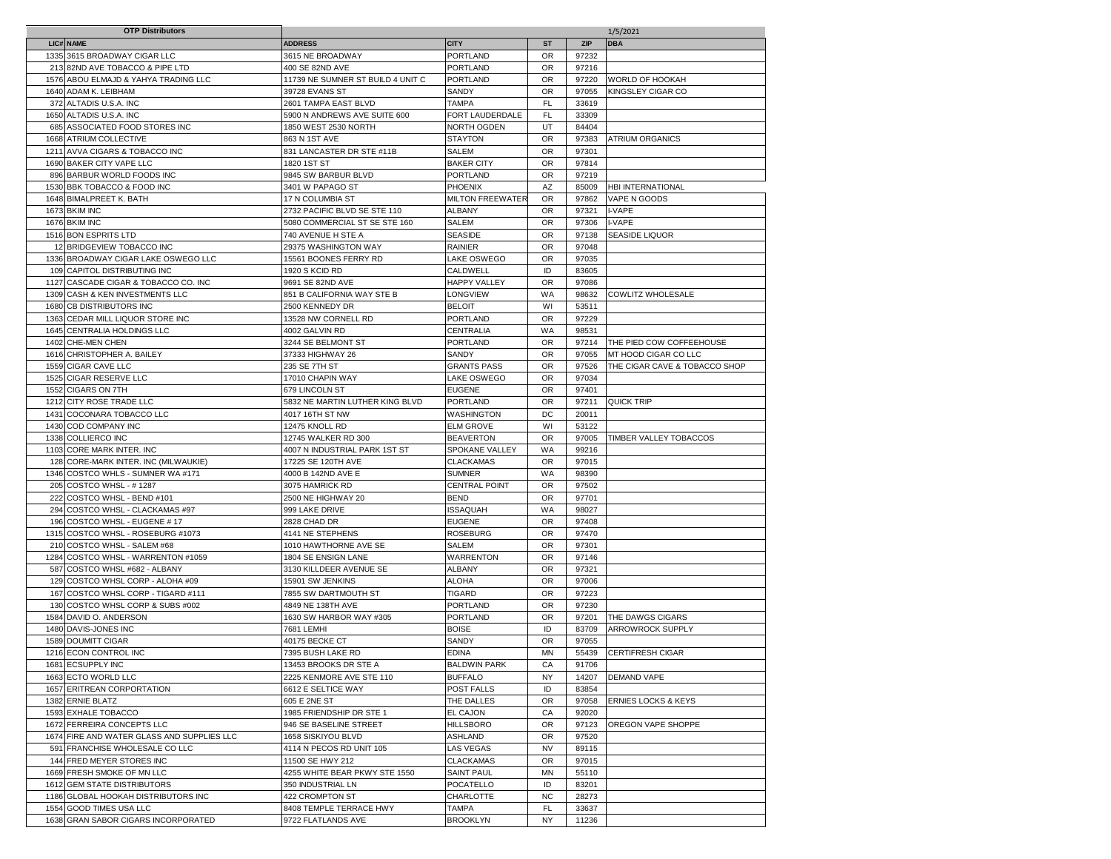|      | <b>OTP Distributors</b>                    |                                   |                         |           |       | 1/5/2021                       |
|------|--------------------------------------------|-----------------------------------|-------------------------|-----------|-------|--------------------------------|
|      | LIC# NAME                                  | <b>ADDRESS</b>                    | <b>CITY</b>             | <b>ST</b> | ZIP   | <b>DBA</b>                     |
|      | 1335 3615 BROADWAY CIGAR LLC               | 3615 NE BROADWAY                  | <b>PORTLAND</b>         | <b>OR</b> | 97232 |                                |
|      | 213 82ND AVE TOBACCO & PIPE LTD            | 400 SE 82ND AVE                   | <b>PORTLAND</b>         | <b>OR</b> | 97216 |                                |
|      | 1576 ABOU ELMAJD & YAHYA TRADING LLC       | 11739 NE SUMNER ST BUILD 4 UNIT C | <b>PORTLAND</b>         | <b>OR</b> | 97220 | <b>WORLD OF HOOKAH</b>         |
|      | 1640 ADAM K. LEIBHAM                       | 39728 EVANS ST                    | SANDY                   | OR        | 97055 | KINGSLEY CIGAR CO              |
| 372  | ALTADIS U.S.A. INC                         | 2601 TAMPA EAST BLVD              | <b>TAMPA</b>            | <b>FL</b> | 33619 |                                |
|      | 1650 ALTADIS U.S.A. INC                    | 5900 N ANDREWS AVE SUITE 600      | FORT LAUDERDALE         | <b>FL</b> | 33309 |                                |
|      | 685 ASSOCIATED FOOD STORES INC             | 1850 WEST 2530 NORTH              | <b>NORTH OGDEN</b>      | UT        | 84404 |                                |
|      | 1668 ATRIUM COLLECTIVE                     | 863 N 1ST AVE                     | <b>STAYTON</b>          | <b>OR</b> | 97383 | <b>ATRIUM ORGANICS</b>         |
| 1211 | AVVA CIGARS & TOBACCO INC                  | 831 LANCASTER DR STE #11B         | <b>SALEM</b>            | <b>OR</b> | 97301 |                                |
|      | 1690 BAKER CITY VAPE LLC                   | 1820 1ST ST                       | <b>BAKER CITY</b>       | <b>OR</b> | 97814 |                                |
|      | 896 BARBUR WORLD FOODS INC                 | 9845 SW BARBUR BLVD               | <b>PORTLAND</b>         | OR        | 97219 |                                |
|      |                                            |                                   |                         | AZ        |       | HBI INTERNATIONAL              |
|      | 1530 BBK TOBACCO & FOOD INC                | 3401 W PAPAGO ST                  | <b>PHOENIX</b>          |           | 85009 | VAPE N GOODS                   |
|      | 1648 BIMALPREET K. BATH                    | 17 N COLUMBIA ST                  | <b>MILTON FREEWATER</b> | <b>OR</b> | 97862 |                                |
|      | 1673 BKIM INC                              | 2732 PACIFIC BLVD SE STE 110      | <b>ALBANY</b>           | <b>OR</b> | 97321 | I-VAPE                         |
|      | 1676 BKIM INC                              | 5080 COMMERCIAL ST SE STE 160     | <b>SALEM</b>            | <b>OR</b> | 97306 | I-VAPE                         |
|      | 1516 BON ESPRITS LTD                       | 740 AVENUE H STE A                | <b>SEASIDE</b>          | <b>OR</b> | 97138 | <b>SEASIDE LIQUOR</b>          |
|      | 12 BRIDGEVIEW TOBACCO INC                  | 29375 WASHINGTON WAY              | <b>RAINIER</b>          | OR        | 97048 |                                |
|      | 1336 BROADWAY CIGAR LAKE OSWEGO LLC        | 15561 BOONES FERRY RD             | <b>LAKE OSWEGO</b>      | <b>OR</b> | 97035 |                                |
|      | 109 CAPITOL DISTRIBUTING INC               | 1920 S KCID RD                    | CALDWELL                | ID        | 83605 |                                |
|      | 1127 CASCADE CIGAR & TOBACCO CO. INC       | 9691 SE 82ND AVE                  | <b>HAPPY VALLEY</b>     | <b>OR</b> | 97086 |                                |
|      | 1309 CASH & KEN INVESTMENTS LLC            | 851 B CALIFORNIA WAY STE B        | LONGVIEW                | WA        | 98632 | COWLITZ WHOLESALE              |
|      | 1680 CB DISTRIBUTORS INC                   | 2500 KENNEDY DR                   | <b>BELOIT</b>           | WI        | 53511 |                                |
|      | 1363 CEDAR MILL LIQUOR STORE INC           | 13528 NW CORNELL RD               | <b>PORTLAND</b>         | OR        | 97229 |                                |
|      | 1645 CENTRALIA HOLDINGS LLC                | 4002 GALVIN RD                    | <b>CENTRALIA</b>        | WA        | 98531 |                                |
|      | 1402 CHE-MEN CHEN                          | 3244 SE BELMONT ST                | <b>PORTLAND</b>         | OR        | 97214 | THE PIED COW COFFEEHOUSE       |
|      | 1616 CHRISTOPHER A. BAILEY                 | 37333 HIGHWAY 26                  | SANDY                   | <b>OR</b> | 97055 | MT HOOD CIGAR CO LLC           |
|      | 1559 CIGAR CAVE LLC                        | 235 SE 7TH ST                     | <b>GRANTS PASS</b>      | <b>OR</b> | 97526 | THE CIGAR CAVE & TOBACCO SHOP  |
|      | 1525 CIGAR RESERVE LLC                     | 17010 CHAPIN WAY                  | <b>LAKE OSWEGO</b>      | <b>OR</b> | 97034 |                                |
| 1552 | <b>CIGARS ON 7TH</b>                       | 679 LINCOLN ST                    | <b>EUGENE</b>           | <b>OR</b> | 97401 |                                |
| 1212 | <b>CITY ROSE TRADE LLC</b>                 | 5832 NE MARTIN LUTHER KING BLVD   | <b>PORTLAND</b>         | OR        | 97211 | <b>QUICK TRIP</b>              |
| 1431 | COCONARA TOBACCO LLC                       | 4017 16TH ST NW                   | WASHINGTON              | DC        | 20011 |                                |
|      | 1430 COD COMPANY INC                       | 12475 KNOLL RD                    | <b>ELM GROVE</b>        | WI        | 53122 |                                |
|      | 1338 COLLIERCO INC                         | 12745 WALKER RD 300               | <b>BEAVERTON</b>        | <b>OR</b> | 97005 | TIMBER VALLEY TOBACCOS         |
|      | 1103 CORE MARK INTER. INC                  | 4007 N INDUSTRIAL PARK 1ST ST     | <b>SPOKANE VALLEY</b>   | WA        | 99216 |                                |
|      | 128 CORE-MARK INTER. INC (MILWAUKIE)       | 17225 SE 120TH AVE                | <b>CLACKAMAS</b>        | <b>OR</b> | 97015 |                                |
| 1346 | COSTCO WHLS - SUMNER WA #171               | 4000 B 142ND AVE E                | <b>SUMNER</b>           | WA        | 98390 |                                |
|      |                                            |                                   |                         |           |       |                                |
| 205  | COSTCO WHSL - #1287                        | 3075 HAMRICK RD                   | <b>CENTRAL POINT</b>    | <b>OR</b> | 97502 |                                |
| 222  | COSTCO WHSL - BEND #101                    | 2500 NE HIGHWAY 20                | <b>BEND</b>             | <b>OR</b> | 97701 |                                |
| 294  | COSTCO WHSL - CLACKAMAS #97                | 999 LAKE DRIVE                    | <b>ISSAQUAH</b>         | WA        | 98027 |                                |
|      | 196 COSTCO WHSL - EUGENE #17               | 2828 CHAD DR                      | <b>EUGENE</b>           | OR        | 97408 |                                |
|      | 1315 COSTCO WHSL - ROSEBURG #1073          | 4141 NE STEPHENS                  | <b>ROSEBURG</b>         | <b>OR</b> | 97470 |                                |
|      | 210 COSTCO WHSL - SALEM #68                | 1010 HAWTHORNE AVE SE             | SALEM                   | OR        | 97301 |                                |
| 1284 | COSTCO WHSL - WARRENTON #1059              | 1804 SE ENSIGN LANE               | WARRENTON               | <b>OR</b> | 97146 |                                |
| 587  | COSTCO WHSL #682 - ALBANY                  | 3130 KILLDEER AVENUE SE           | <b>ALBANY</b>           | <b>OR</b> | 97321 |                                |
|      | 129 COSTCO WHSL CORP - ALOHA #09           | 15901 SW JENKINS                  | <b>ALOHA</b>            | <b>OR</b> | 97006 |                                |
| 167  | COSTCO WHSL CORP - TIGARD #111             | 7855 SW DARTMOUTH ST              | <b>TIGARD</b>           | <b>OR</b> | 97223 |                                |
|      | 130 COSTCO WHSL CORP & SUBS #002           | 4849 NE 138TH AVE                 | PORTLAND                | <b>OR</b> | 97230 |                                |
|      | 1584 DAVID O. ANDERSON                     | 1630 SW HARBOR WAY #305           | <b>PORTLAND</b>         | OR        | 97201 | THE DAWGS CIGARS               |
|      | 1480 DAVIS-JONES INC                       | 7681 LEMHI                        | <b>BOISE</b>            | ID        | 83709 | ARROWROCK SUPPLY               |
|      | 1589 DOUMITT CIGAR                         | 40175 BECKE CT                    | SANDY                   | OR        | 97055 |                                |
|      | 1216 ECON CONTROL INC                      | 7395 BUSH LAKE RD                 | <b>EDINA</b>            | <b>MN</b> |       | 55439 CERTIFRESH CIGAR         |
|      | 1681 ECSUPPLY INC                          | 13453 BROOKS DR STE A             | <b>BALDWIN PARK</b>     | CA        | 91706 |                                |
|      | 1663 ECTO WORLD LLC                        | 2225 KENMORE AVE STE 110          | <b>BUFFALO</b>          | <b>NY</b> | 14207 | DEMAND VAPE                    |
|      | 1657 ERITREAN CORPORTATION                 | 6612 E SELTICE WAY                | <b>POST FALLS</b>       | ID        | 83854 |                                |
|      | 1382 ERNIE BLATZ                           | 605 E 2NE ST                      | THE DALLES              | OR        | 97058 | <b>ERNIES LOCKS &amp; KEYS</b> |
|      | 1593 EXHALE TOBACCO                        | 1985 FRIENDSHIP DR STE 1          | <b>EL CAJON</b>         | CA        | 92020 |                                |
|      | 1672 FERREIRA CONCEPTS LLC                 | 946 SE BASELINE STREET            | <b>HILLSBORO</b>        | <b>OR</b> | 97123 | OREGON VAPE SHOPPE             |
|      | 1674 FIRE AND WATER GLASS AND SUPPLIES LLC | 1658 SISKIYOU BLVD                | <b>ASHLAND</b>          | OR.       | 97520 |                                |
|      | 591 FRANCHISE WHOLESALE CO LLC             | 4114 N PECOS RD UNIT 105          | <b>LAS VEGAS</b>        | <b>NV</b> | 89115 |                                |
|      | 144 FRED MEYER STORES INC                  | 11500 SE HWY 212                  | <b>CLACKAMAS</b>        | <b>OR</b> | 97015 |                                |
|      | 1669 FRESH SMOKE OF MN LLC                 | 4255 WHITE BEAR PKWY STE 1550     | <b>SAINT PAUL</b>       | MN        | 55110 |                                |
|      | 1612 GEM STATE DISTRIBUTORS                | 350 INDUSTRIAL LN                 | <b>POCATELLO</b>        | ID        | 83201 |                                |
|      | 1186 GLOBAL HOOKAH DISTRIBUTORS INC        | 422 CROMPTON ST                   | <b>CHARLOTTE</b>        | <b>NC</b> | 28273 |                                |
|      | 1554 GOOD TIMES USA LLC                    | 8408 TEMPLE TERRACE HWY           | TAMPA                   | FL.       | 33637 |                                |
|      | 1638 GRAN SABOR CIGARS INCORPORATED        | 9722 FLATLANDS AVE                | <b>BROOKLYN</b>         | <b>NY</b> | 11236 |                                |
|      |                                            |                                   |                         |           |       |                                |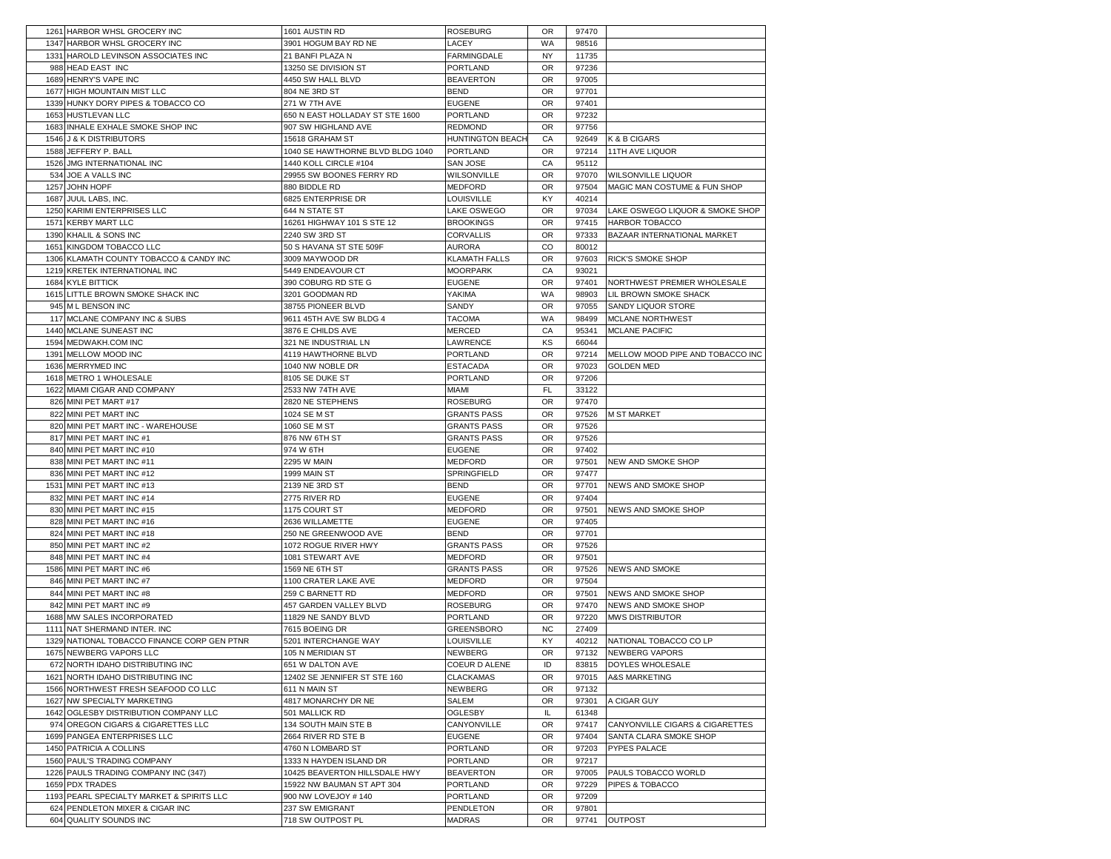|      | 1261 HARBOR WHSL GROCERY INC                              | 1601 AUSTIN RD                              | <b>ROSEBURG</b>                   | <b>OR</b> | 97470          |                                                           |
|------|-----------------------------------------------------------|---------------------------------------------|-----------------------------------|-----------|----------------|-----------------------------------------------------------|
|      | 1347 HARBOR WHSL GROCERY INC                              | 3901 HOGUM BAY RD NE                        | LACEY                             | WA        | 98516          |                                                           |
|      | 1331 HAROLD LEVINSON ASSOCIATES INC                       | 21 BANFI PLAZA N                            | FARMINGDALE                       | <b>NY</b> | 11735          |                                                           |
|      | 988 HEAD EAST INC                                         | 13250 SE DIVISION ST                        | PORTLAND                          | OR        | 97236          |                                                           |
|      | 1689 HENRY'S VAPE INC                                     | 4450 SW HALL BLVD                           | <b>BEAVERTON</b>                  | <b>OR</b> | 97005          |                                                           |
|      | 1677 HIGH MOUNTAIN MIST LLC                               | 804 NE 3RD ST                               | <b>BEND</b>                       | <b>OR</b> | 97701          |                                                           |
|      | 1339 HUNKY DORY PIPES & TOBACCO CO                        | 271 W 7TH AVE                               | <b>EUGENE</b>                     | <b>OR</b> | 97401          |                                                           |
|      | 1653 HUSTLEVAN LLC                                        | 650 N EAST HOLLADAY ST STE 1600             | <b>PORTLAND</b>                   | <b>OR</b> | 97232          |                                                           |
|      | 1683 INHALE EXHALE SMOKE SHOP INC                         | 907 SW HIGHLAND AVE                         | <b>REDMOND</b>                    | 0R        | 97756          |                                                           |
|      | 1546 J & K DISTRIBUTORS                                   | 15618 GRAHAM ST                             | <b>HUNTINGTON BEACH</b>           | CA        | 92649          | K & B CIGARS                                              |
|      | 1588 JEFFERY P. BALL                                      | 1040 SE HAWTHORNE BLVD BLDG 1040            | <b>PORTLAND</b>                   | <b>OR</b> | 97214          | 11TH AVE LIQUOR                                           |
|      | 1526 JMG INTERNATIONAL INC                                | 1440 KOLL CIRCLE #104                       | SAN JOSE                          | CA        | 95112          |                                                           |
|      | 534 JOE A VALLS INC                                       | 29955 SW BOONES FERRY RD                    | WILSONVILLE                       | <b>OR</b> | 97070          | <b>WILSONVILLE LIQUOR</b>                                 |
|      | <b>JOHN HOPF</b>                                          | 880 BIDDLE RD                               |                                   |           |                | MAGIC MAN COSTUME & FUN SHOP                              |
| 1257 |                                                           |                                             | MEDFORD                           | <b>OR</b> | 97504          |                                                           |
|      | 1687 JUUL LABS, INC.                                      | 6825 ENTERPRISE DR                          | LOUISVILLE                        | KY        | 40214          |                                                           |
|      | 1250 KARIMI ENTERPRISES LLC                               | 644 N STATE ST                              | LAKE OSWEGO                       | <b>OR</b> | 97034          | LAKE OSWEGO LIQUOR & SMOKE SHOP                           |
|      | 1571 KERBY MART LLC                                       | 16261 HIGHWAY 101 S STE 12                  | <b>BROOKINGS</b>                  | OR        | 97415          | HARBOR TOBACCO                                            |
|      | 1390 KHALIL & SONS INC                                    | 2240 SW 3RD ST                              | <b>CORVALLIS</b>                  | <b>OR</b> | 97333          | BAZAAR INTERNATIONAL MARKET                               |
|      | 1651 KINGDOM TOBACCO LLC                                  | 50 S HAVANA ST STE 509F                     | <b>AURORA</b>                     | CO        | 80012          |                                                           |
|      | 1306 KLAMATH COUNTY TOBACCO & CANDY INC                   | 3009 MAYWOOD DR                             | <b>KLAMATH FALLS</b>              | <b>OR</b> | 97603          | RICK'S SMOKE SHOP                                         |
|      | 1219 KRETEK INTERNATIONAL INC                             | 5449 ENDEAVOUR CT                           | <b>MOORPARK</b>                   | CA        | 93021          |                                                           |
|      | 1684 KYLE BITTICK                                         | 390 COBURG RD STE G                         | <b>EUGENE</b>                     | <b>OR</b> | 97401          | NORTHWEST PREMIER WHOLESALE                               |
|      | 1615 LITTLE BROWN SMOKE SHACK INC                         | 3201 GOODMAN RD                             | YAKIMA                            | WA        | 98903          | LIL BROWN SMOKE SHACK                                     |
|      | 945 M L BENSON INC                                        | 38755 PIONEER BLVD                          | SANDY                             | <b>OR</b> | 97055          | SANDY LIQUOR STORE                                        |
|      | 117 MCLANE COMPANY INC & SUBS                             | 9611 45TH AVE SW BLDG 4                     | <b>TACOMA</b>                     | WA        | 98499          | MCLANE NORTHWEST                                          |
|      | 1440 MCLANE SUNEAST INC                                   | 3876 E CHILDS AVE                           | MERCED                            | CA        | 95341          | <b>MCLANE PACIFIC</b>                                     |
|      | 1594 MEDWAKH.COM INC                                      | 321 NE INDUSTRIAL LN                        | LAWRENCE                          | KS        | 66044          |                                                           |
|      | 1391 MELLOW MOOD INC                                      | 4119 HAWTHORNE BLVD                         | PORTLAND                          | <b>OR</b> | 97214          | MELLOW MOOD PIPE AND TOBACCO INC                          |
|      | 1636 MERRYMED INC                                         | 1040 NW NOBLE DR                            | ESTACADA                          | <b>OR</b> | 97023          | <b>GOLDEN MED</b>                                         |
|      | 1618 METRO 1 WHOLESALE                                    | 8105 SE DUKE ST                             | <b>PORTLAND</b>                   | <b>OR</b> | 97206          |                                                           |
|      | 1622 MIAMI CIGAR AND COMPANY                              | 2533 NW 74TH AVE                            | MIAMI                             | FL        | 33122          |                                                           |
|      | 826 MINI PET MART #17                                     | 2820 NE STEPHENS                            | <b>ROSEBURG</b>                   | <b>OR</b> | 97470          |                                                           |
|      | 822 MINI PET MART INC                                     | 1024 SE M ST                                | <b>GRANTS PASS</b>                | <b>OR</b> | 97526          | <b>M ST MARKET</b>                                        |
|      | 820 MINI PET MART INC - WAREHOUSE                         |                                             |                                   | <b>OR</b> | 97526          |                                                           |
|      | 817 MINI PET MART INC #1                                  | 1060 SE M ST<br>876 NW 6TH ST               | GRANTS PASS<br><b>GRANTS PASS</b> | OR        | 97526          |                                                           |
|      |                                                           |                                             |                                   |           | 97402          |                                                           |
|      | 840 MINI PET MART INC #10                                 | 974 W 6TH                                   | <b>EUGENE</b>                     | <b>OR</b> |                |                                                           |
|      | 838 MINI PET MART INC #11                                 | 2295 W MAIN                                 | MEDFORD                           | <b>OR</b> | 97501          | NEW AND SMOKE SHOP                                        |
|      | 836 MINI PET MART INC #12                                 | 1999 MAIN ST                                | SPRINGFIELD                       | <b>OR</b> | 97477          |                                                           |
| 1531 | MINI PET MART INC #13                                     | 2139 NE 3RD ST                              | <b>BEND</b>                       | <b>OR</b> | 97701          | NEWS AND SMOKE SHOP                                       |
|      | 832 MINI PET MART INC #14                                 | 2775 RIVER RD                               | <b>EUGENE</b>                     | <b>OR</b> | 97404          |                                                           |
|      | 830 MINI PET MART INC #15                                 | 1175 COURT ST                               | MEDFORD                           | <b>OR</b> | 97501          | NEWS AND SMOKE SHOP                                       |
|      | 828 MINI PET MART INC #16                                 | 2636 WILLAMETTE                             | <b>EUGENE</b>                     | <b>OR</b> | 97405          |                                                           |
|      | 824 MINI PET MART INC #18                                 | 250 NE GREENWOOD AVE                        | <b>BEND</b>                       | <b>OR</b> | 97701          |                                                           |
|      | 850 MINI PET MART INC #2                                  | 1072 ROGUE RIVER HWY                        | <b>GRANTS PASS</b>                | <b>OR</b> | 97526          |                                                           |
|      | 848 MINI PET MART INC #4                                  | 1081 STEWART AVE                            | MEDFORD                           | <b>OR</b> | 97501          |                                                           |
|      | 1586 MINI PET MART INC #6                                 | 1569 NE 6TH ST                              | <b>GRANTS PASS</b>                | <b>OR</b> | 97526          | <b>NEWS AND SMOKE</b>                                     |
|      | 846 MINI PET MART INC #7                                  | 1100 CRATER LAKE AVE                        | MEDFORD                           | <b>OR</b> | 97504          |                                                           |
|      | 844 MINI PET MART INC #8                                  | 259 C BARNETT RD                            | MEDFORD                           | <b>OR</b> | 97501          | NEWS AND SMOKE SHOP                                       |
|      | 842 MINI PET MART INC #9                                  | 457 GARDEN VALLEY BLVD                      | ROSEBURG                          | <b>OR</b> | 97470          | NEWS AND SMOKE SHOP                                       |
|      | 1688 MW SALES INCORPORATED                                | 11829 NE SANDY BLVD                         | PORTLAND                          | <b>OR</b> | 97220          | <b>MWS DISTRIBUTOR</b>                                    |
| 1111 | NAT SHERMAND INTER. INC                                   | 7615 BOEING DR                              | GREENSBORO                        | <b>NC</b> | 27409          |                                                           |
|      | 1329 NATIONAL TOBACCO FINANCE CORP GEN PTNR               | 5201 INTERCHANGE WAY                        | LOUISVILLE                        | KY        |                | 40212 NATIONAL TOBACCO CO LP                              |
|      | 1675 NEWBERG VAPORS LLC                                   | 105 N MERIDIAN ST                           | <b>NEWBERG</b>                    | OR        |                | 97132 NEWBERG VAPORS                                      |
|      | 672 NORTH IDAHO DISTRIBUTING INC                          | 651 W DALTON AVE                            | COEUR D ALENE                     | ID        | 83815          | DOYLES WHOLESALE                                          |
|      | 1621 NORTH IDAHO DISTRIBUTING INC                         | 12402 SE JENNIFER ST STE 160                | <b>CLACKAMAS</b>                  | <b>OR</b> | 97015          | <b>A&amp;S MARKETING</b>                                  |
|      | 1566 NORTHWEST FRESH SEAFOOD CO LLC                       | 611 N MAIN ST                               | NEWBERG                           | <b>OR</b> | 97132          |                                                           |
|      | 1627 NW SPECIALTY MARKETING                               | 4817 MONARCHY DR NE                         | SALEM                             | <b>OR</b> | 97301          | A CIGAR GUY                                               |
|      | 1642 OGLESBY DISTRIBUTION COMPANY LLC                     | 501 MALLICK RD                              | <b>OGLESBY</b>                    | IL        | 61348          |                                                           |
|      | 974 OREGON CIGARS & CIGARETTES LLC                        |                                             | CANYONVILLE                       | 0R        | 97417          |                                                           |
|      | 1699 PANGEA ENTERPRISES LLC                               | 134 SOUTH MAIN STE B<br>2664 RIVER RD STE B | <b>EUGENE</b>                     | OR        | 97404          | CANYONVILLE CIGARS & CIGARETTES<br>SANTA CLARA SMOKE SHOP |
|      |                                                           |                                             |                                   |           |                |                                                           |
|      | 1450 PATRICIA A COLLINS                                   | 4760 N LOMBARD ST                           | PORTLAND                          | OR        | 97203          | PYPES PALACE                                              |
|      | 1560 PAUL'S TRADING COMPANY                               | 1333 N HAYDEN ISLAND DR                     | PORTLAND                          | <b>OR</b> | 97217          |                                                           |
|      | 1226 PAULS TRADING COMPANY INC (347)                      | 10425 BEAVERTON HILLSDALE HWY               | <b>BEAVERTON</b>                  | OR        | 97005          | PAULS TOBACCO WORLD                                       |
|      | 1659 PDX TRADES                                           | 15922 NW BAUMAN ST APT 304                  | PORTLAND                          | <b>OR</b> | 97229          | PIPES & TOBACCO                                           |
|      | 1193 PEARL SPECIALTY MARKET & SPIRITS LLC                 | 900 NW LOVEJOY # 140                        | PORTLAND                          | OR        | 97209          |                                                           |
|      |                                                           |                                             |                                   |           |                |                                                           |
|      | 624 PENDLETON MIXER & CIGAR INC<br>604 QUALITY SOUNDS INC | 237 SW EMIGRANT<br>718 SW OUTPOST PL        | PENDLETON<br>MADRAS               | OR<br>OR  | 97801<br>97741 | <b>OUTPOST</b>                                            |